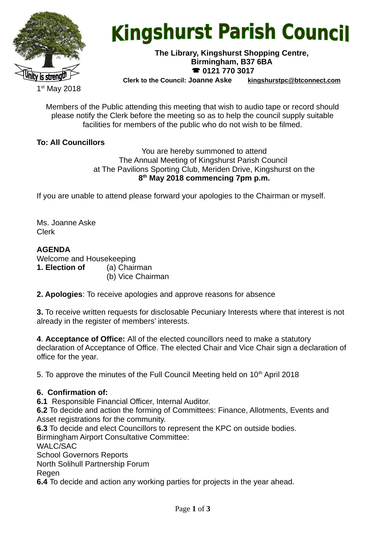

# **Kingshurst Parish Council**

#### **The Library, Kingshurst Shopping Centre, Birmingham, B37 6BA 0121 770 3017**

**Clerk to the Council: Joanne Aske [kingshurstpc@btconnect.com](mailto:kingshurstpc@btconnect.com)**

1 st May 2018

Members of the Public attending this meeting that wish to audio tape or record should please notify the Clerk before the meeting so as to help the council supply suitable facilities for members of the public who do not wish to be filmed.

# **To: All Councillors**

You are hereby summoned to attend The Annual Meeting of Kingshurst Parish Council at The Pavilions Sporting Club, Meriden Drive, Kingshurst on the **8 th May 2018 commencing 7pm p.m.**

If you are unable to attend please forward your apologies to the Chairman or myself.

Ms. Joanne Aske Clerk

# **AGENDA**

Welcome and Housekeeping **1. Election of** (a) Chairman

(b) Vice Chairman

**2. Apologies**: To receive apologies and approve reasons for absence

**3.** To receive written requests for disclosable Pecuniary Interests where that interest is not already in the register of members' interests.

**4**. **Acceptance of Office:** All of the elected councillors need to make a statutory declaration of Acceptance of Office. The elected Chair and Vice Chair sign a declaration of office for the year.

5. To approve the minutes of the Full Council Meeting held on 10<sup>th</sup> April 2018

# **6. Confirmation of:**

**6.1** Responsible Financial Officer, Internal Auditor.

**6.2** To decide and action the forming of Committees: Finance, Allotments, Events and Asset registrations for the community.

**6.3** To decide and elect Councillors to represent the KPC on outside bodies.

Birmingham Airport Consultative Committee:

WALC/SAC

School Governors Reports

North Solihull Partnership Forum

Regen

**6.4** To decide and action any working parties for projects in the year ahead.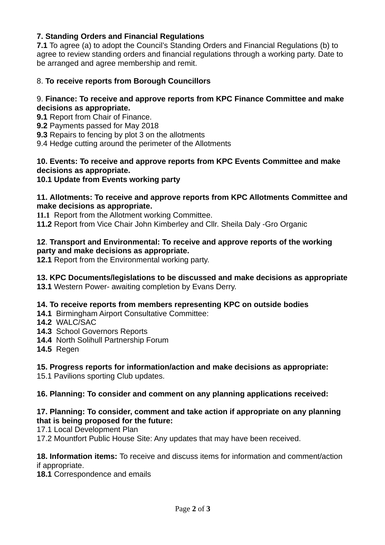# **7. Standing Orders and Financial Regulations**

**7.1** To agree (a) to adopt the Council's Standing Orders and Financial Regulations (b) to agree to review standing orders and financial regulations through a working party. Date to be arranged and agree membership and remit.

## 8. **To receive reports from Borough Councillors**

#### 9. **Finance: To receive and approve reports from KPC Finance Committee and make decisions as appropriate.**

- **9.1** Report from Chair of Finance.
- **9.2** Payments passed for May 2018
- **9.3** Repairs to fencing by plot 3 on the allotments
- 9.4 Hedge cutting around the perimeter of the Allotments

## **10. Events: To receive and approve reports from KPC Events Committee and make decisions as appropriate.**

#### **10.1 Update from Events working party**

#### **11. Allotments: To receive and approve reports from KPC Allotments Committee and make decisions as appropriate.**

**11.1** Report from the Allotment working Committee.

**11.2** Report from Vice Chair John Kimberley and Cllr. Sheila Daly -Gro Organic

#### **12**. **Transport and Environmental: To receive and approve reports of the working party and make decisions as appropriate.**

**12.1** Report from the Environmental working party.

# **13. KPC Documents/legislations to be discussed and make decisions as appropriate**

**13.1** Western Power- awaiting completion by Evans Derry.

#### **14. To receive reports from members representing KPC on outside bodies**

- **14.1** Birmingham Airport Consultative Committee:
- **14.2** WALC/SAC
- **14.3** School Governors Reports
- **14.4** North Solihull Partnership Forum
- **14.5** Regen

# **15. Progress reports for information/action and make decisions as appropriate:**

15.1 Pavilions sporting Club updates.

# **16. Planning: To consider and comment on any planning applications received:**

#### **17. Planning: To consider, comment and take action if appropriate on any planning that is being proposed for the future:**

17.1 Local Development Plan

17.2 Mountfort Public House Site: Any updates that may have been received.

#### **18. Information items:** To receive and discuss items for information and comment/action if appropriate.

**18.1** Correspondence and emails